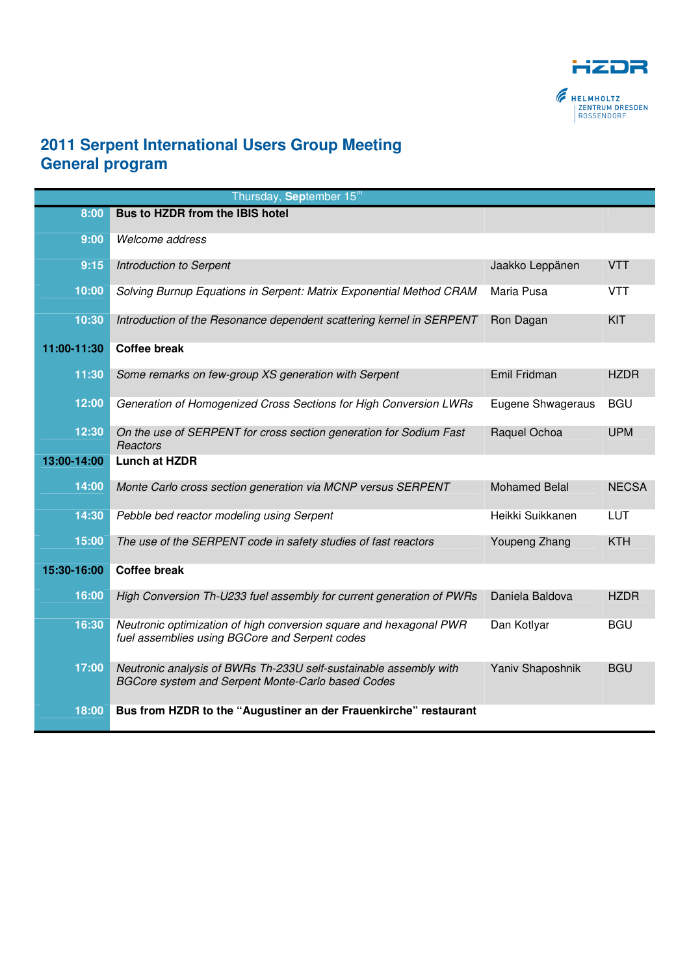

## **2011 Serpent International Users Group Meeting General program**

|             | Thursday, September 15 <sup>th</sup>                                                                                   |                      |              |
|-------------|------------------------------------------------------------------------------------------------------------------------|----------------------|--------------|
| 8:00        | Bus to HZDR from the IBIS hotel                                                                                        |                      |              |
| 9:00        | Welcome address                                                                                                        |                      |              |
| 9:15        | Introduction to Serpent                                                                                                | Jaakko Leppänen      | <b>VTT</b>   |
| 10:00       | Solving Burnup Equations in Serpent: Matrix Exponential Method CRAM                                                    | Maria Pusa           | <b>VTT</b>   |
| 10:30       | Introduction of the Resonance dependent scattering kernel in SERPENT                                                   | Ron Dagan            | KIT          |
| 11:00-11:30 | <b>Coffee break</b>                                                                                                    |                      |              |
| 11:30       | Some remarks on few-group XS generation with Serpent                                                                   | Emil Fridman         | <b>HZDR</b>  |
| 12:00       | Generation of Homogenized Cross Sections for High Conversion LWRs                                                      | Eugene Shwageraus    | <b>BGU</b>   |
| 12:30       | On the use of SERPENT for cross section generation for Sodium Fast<br>Reactors                                         | Raquel Ochoa         | <b>UPM</b>   |
| 13:00-14:00 | <b>Lunch at HZDR</b>                                                                                                   |                      |              |
| 14:00       | Monte Carlo cross section generation via MCNP versus SERPENT                                                           | <b>Mohamed Belal</b> | <b>NECSA</b> |
| 14:30       | Pebble bed reactor modeling using Serpent                                                                              | Heikki Suikkanen     | <b>LUT</b>   |
| 15:00       | The use of the SERPENT code in safety studies of fast reactors                                                         | <b>Youpeng Zhang</b> | <b>KTH</b>   |
| 15:30-16:00 | <b>Coffee break</b>                                                                                                    |                      |              |
| 16:00       | High Conversion Th-U233 fuel assembly for current generation of PWRs                                                   | Daniela Baldova      | <b>HZDR</b>  |
| 16:30       | Neutronic optimization of high conversion square and hexagonal PWR<br>fuel assemblies using BGCore and Serpent codes   | Dan Kotlyar          | <b>BGU</b>   |
| 17:00       | Neutronic analysis of BWRs Th-233U self-sustainable assembly with<br>BGCore system and Serpent Monte-Carlo based Codes | Yaniv Shaposhnik     | <b>BGU</b>   |
| 18:00       | Bus from HZDR to the "Augustiner an der Frauenkirche" restaurant                                                       |                      |              |